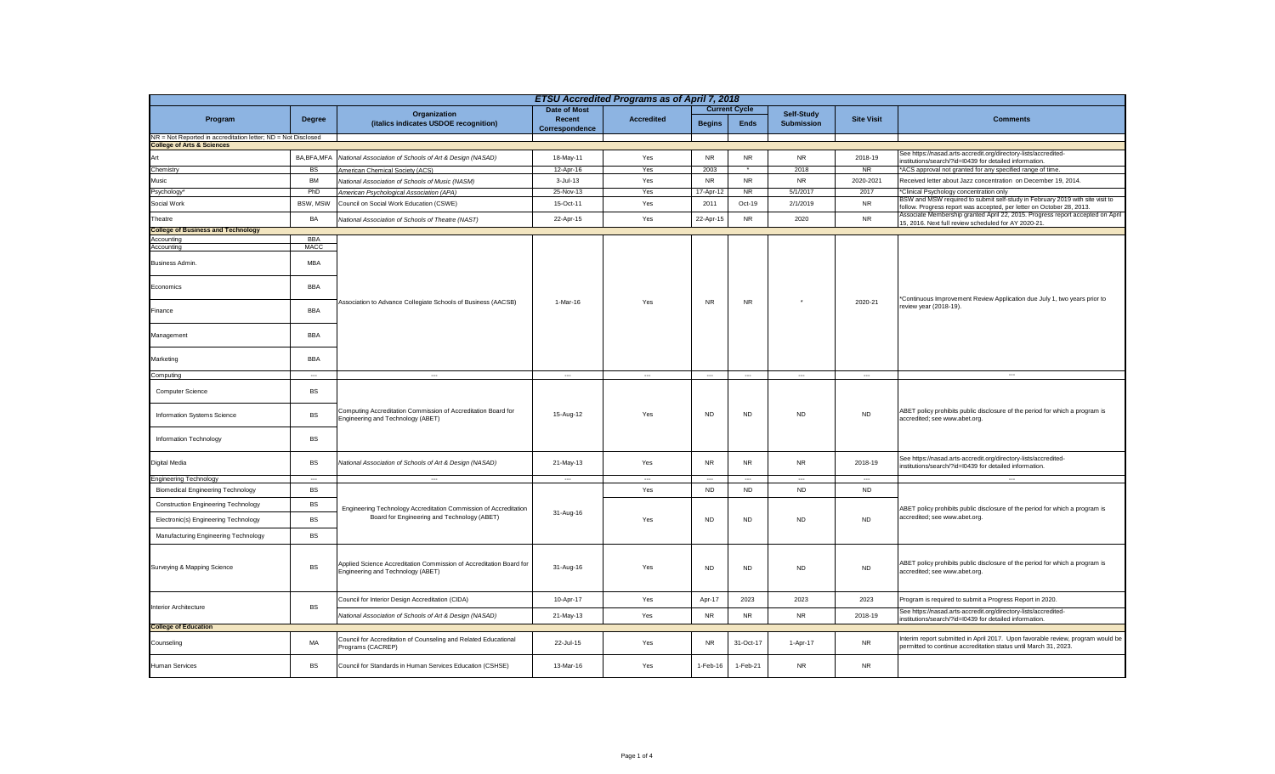| ETSU Accredited Programs as of April 7, 2018                  |                          |                                                                                                          |                          |                          |                      |                          |                          |                          |                                                                                                                                                        |  |
|---------------------------------------------------------------|--------------------------|----------------------------------------------------------------------------------------------------------|--------------------------|--------------------------|----------------------|--------------------------|--------------------------|--------------------------|--------------------------------------------------------------------------------------------------------------------------------------------------------|--|
|                                                               |                          | Organization                                                                                             | <b>Date of Most</b>      |                          | <b>Current Cycle</b> |                          | Self-Study               |                          |                                                                                                                                                        |  |
| Program                                                       | <b>Degree</b>            | (italics indicates USDOE recognition)                                                                    | Recent<br>Correspondence | <b>Accredited</b>        | <b>Begins</b>        | <b>Ends</b>              | <b>Submission</b>        | <b>Site Visit</b>        | <b>Comments</b>                                                                                                                                        |  |
| NR = Not Reported in accreditation letter; ND = Not Disclosed |                          |                                                                                                          |                          |                          |                      |                          |                          |                          |                                                                                                                                                        |  |
| <b>College of Arts &amp; Sciences</b>                         |                          |                                                                                                          |                          |                          |                      |                          |                          |                          |                                                                                                                                                        |  |
| Art                                                           | BA, BFA, MFA             | National Association of Schools of Art & Design (NASAD)                                                  | 18-May-11                | Yes                      | <b>NR</b>            | <b>NR</b>                | <b>NR</b>                | 2018-19                  | See https://nasad.arts-accredit.org/directory-lists/accredited-<br>nstitutions/search/?id=I0439 for detailed information.                              |  |
| Chemistry                                                     | <b>BS</b>                | American Chemical Society (ACS)                                                                          | 12-Apr-16                | Yes                      | 2003                 |                          | 2018                     | <b>NR</b>                | ACS approval not granted for any specified range of time.                                                                                              |  |
| Music                                                         | <b>BM</b>                | National Association of Schools of Music (NASM)                                                          | 3-Jul-13                 | Yes                      | <b>NR</b>            | <b>NR</b>                | <b>NR</b>                | 2020-2021                | Received letter about Jazz concentration on December 19, 2014.                                                                                         |  |
| Psychology <sup>®</sup>                                       | PhD                      | American Psychological Association (APA)                                                                 | 25-Nov-13                | Yes                      | 17-Apr-12            | <b>NR</b>                | 5/1/2017                 | 2017                     | *Clinical Psychology concentration only                                                                                                                |  |
| Social Work                                                   | BSW, MSW                 | Council on Social Work Education (CSWE)                                                                  | 15-Oct-11                | Yes                      | 2011                 | Oct-19                   | 2/1/2019                 | <b>NR</b>                | BSW and MSW required to submit self-study in February 2019 with site visit to<br>follow. Progress report was accepted, per letter on October 28, 2013. |  |
| Theatre                                                       | BA                       | National Association of Schools of Theatre (NAST)                                                        | 22-Apr-15                | Yes                      | 22-Apr-15            | <b>NR</b>                | 2020                     | <b>NR</b>                | Associate Membership granted April 22, 2015. Progress report accepted on April<br>15, 2016. Next full review scheduled for AY 2020-21.                 |  |
| <b>College of Business and Technology</b>                     |                          |                                                                                                          |                          |                          |                      |                          |                          |                          |                                                                                                                                                        |  |
| Accounting                                                    | <b>BBA</b>               |                                                                                                          |                          |                          |                      |                          |                          |                          |                                                                                                                                                        |  |
| Accounting                                                    | <b>MACC</b>              |                                                                                                          |                          |                          |                      |                          |                          |                          |                                                                                                                                                        |  |
| Business Admin.                                               | <b>MBA</b>               |                                                                                                          |                          | Yes                      |                      | <b>NR</b>                |                          | 2020-21                  | *Continuous Improvement Review Application due July 1, two years prior to<br>review year (2018-19).                                                    |  |
| Economics                                                     | <b>BBA</b>               |                                                                                                          |                          |                          |                      |                          |                          |                          |                                                                                                                                                        |  |
| Finance                                                       | <b>BBA</b>               | Association to Advance Collegiate Schools of Business (AACSB)                                            | 1-Mar-16                 |                          | <b>NR</b>            |                          |                          |                          |                                                                                                                                                        |  |
| Management                                                    | <b>BBA</b>               |                                                                                                          |                          |                          |                      |                          |                          |                          |                                                                                                                                                        |  |
| Marketing                                                     | <b>BBA</b>               |                                                                                                          |                          |                          |                      |                          |                          |                          |                                                                                                                                                        |  |
| Computing                                                     | $\overline{\phantom{a}}$ | $\overline{\phantom{a}}$                                                                                 | $\hspace{0.05cm} \ldots$ | $\sim$                   | $\cdots$             | $\ldots$                 | $\ldots$                 | $\overline{\phantom{a}}$ | $\overline{\phantom{a}}$                                                                                                                               |  |
| Computer Science                                              | <b>BS</b>                |                                                                                                          | 15-Aug-12                | Yes                      |                      | <b>ND</b>                | <b>ND</b>                | <b>ND</b>                | ABET policy prohibits public disclosure of the period for which a program is<br>accredited; see www.abet.org.                                          |  |
| Information Systems Science                                   | <b>BS</b>                | Computing Accreditation Commission of Accreditation Board for<br>Engineering and Technology (ABET)       |                          |                          | <b>ND</b>            |                          |                          |                          |                                                                                                                                                        |  |
| Information Technology                                        | <b>BS</b>                |                                                                                                          |                          |                          |                      |                          |                          |                          |                                                                                                                                                        |  |
| Digital Media                                                 | <b>BS</b>                | National Association of Schools of Art & Design (NASAD)                                                  | 21-May-13                | Yes                      | <b>NR</b>            | <b>NR</b>                | <b>NR</b>                | 2018-19                  | See https://nasad.arts-accredit.org/directory-lists/accredited-<br>institutions/search/?id=I0439 for detailed information.                             |  |
| Engineering Technology                                        | $\overline{\phantom{a}}$ |                                                                                                          | $\sim$                   | $\overline{\phantom{a}}$ | $\sim$               | $\overline{\phantom{a}}$ | $\overline{\phantom{a}}$ | $\overline{\phantom{a}}$ |                                                                                                                                                        |  |
| <b>Biomedical Engineering Technology</b>                      | <b>BS</b>                |                                                                                                          |                          | Yes                      | <b>ND</b>            | <b>ND</b>                | <b>ND</b>                | <b>ND</b>                |                                                                                                                                                        |  |
| <b>Construction Engineering Technology</b>                    | <b>BS</b>                | Engineering Technology Accreditation Commission of Accreditation                                         | 31-Aug-16                | Yes                      |                      | <b>ND</b>                | <b>ND</b>                | <b>ND</b>                | ABET policy prohibits public disclosure of the period for which a program is<br>accredited; see www.abet.org.                                          |  |
| Electronic(s) Engineering Technology                          | <b>BS</b>                | Board for Engineering and Technology (ABET)                                                              |                          |                          | <b>ND</b>            |                          |                          |                          |                                                                                                                                                        |  |
| Manufacturing Engineering Technology                          | <b>BS</b>                |                                                                                                          |                          |                          |                      |                          |                          |                          |                                                                                                                                                        |  |
| Surveying & Mapping Science                                   | <b>BS</b>                | Applied Science Accreditation Commission of Accreditation Board for<br>Engineering and Technology (ABET) | 31-Aug-16                | Yes                      | <b>ND</b>            | <b>ND</b>                | <b>ND</b>                | <b>ND</b>                | ABET policy prohibits public disclosure of the period for which a program is<br>accredited; see www.abet.org.                                          |  |
| Interior Architecture                                         | <b>BS</b>                | Council for Interior Design Accreditation (CIDA)                                                         | 10-Apr-17                | Yes                      | Apr-17               | 2023                     | 2023                     | 2023                     | Program is required to submit a Progress Report in 2020.                                                                                               |  |
|                                                               |                          | National Association of Schools of Art & Design (NASAD)                                                  | 21-May-13                | Yes                      | <b>NR</b>            | <b>NR</b>                | <b>NR</b>                | 2018-19                  | See https://nasad.arts-accredit.org/directory-lists/accredited-<br>institutions/search/?id=I0439 for detailed information.                             |  |
| <b>College of Education</b>                                   |                          |                                                                                                          |                          |                          |                      |                          |                          |                          |                                                                                                                                                        |  |
| Counseling                                                    | MA                       | Council for Accreditation of Counseling and Related Educational<br>Programs (CACREP)                     | 22-Jul-15                | Yes                      | <b>NR</b>            | 31-Oct-17                | 1-Apr-17                 | <b>NR</b>                | Interim report submitted in April 2017. Upon favorable review, program would be<br>permitted to continue accreditation status until March 31, 2023.    |  |
| Human Services                                                | <b>BS</b>                | Council for Standards in Human Services Education (CSHSE)                                                | 13-Mar-16                | Yes                      | 1-Feb-16             | 1-Feb-21                 | <b>NR</b>                | <b>NR</b>                |                                                                                                                                                        |  |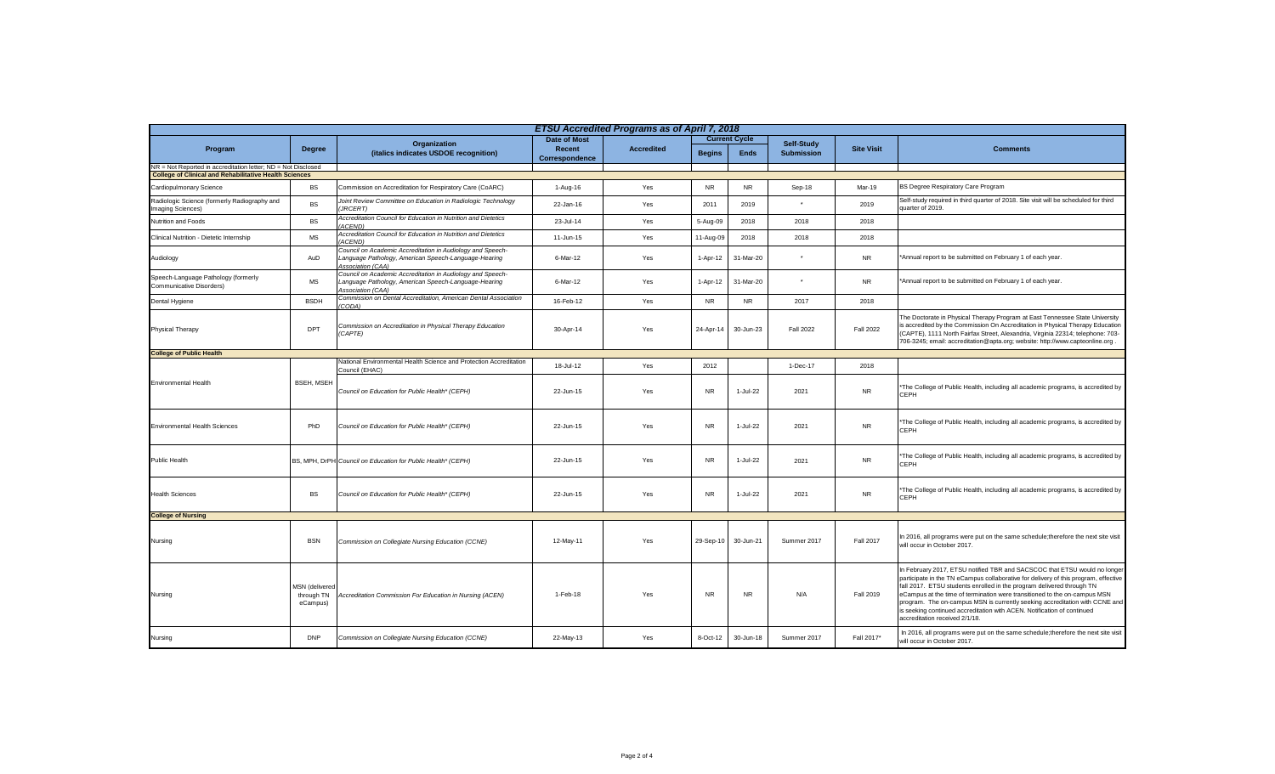| <b>ETSU Accredited Programs as of April 7, 2018</b>                                                                            |                                          |                                                                                                                                         |                          |                   |                      |             |                   |                   |                                                                                                                                                                                                                                                                                                                                                                                                                                                                                                                    |  |
|--------------------------------------------------------------------------------------------------------------------------------|------------------------------------------|-----------------------------------------------------------------------------------------------------------------------------------------|--------------------------|-------------------|----------------------|-------------|-------------------|-------------------|--------------------------------------------------------------------------------------------------------------------------------------------------------------------------------------------------------------------------------------------------------------------------------------------------------------------------------------------------------------------------------------------------------------------------------------------------------------------------------------------------------------------|--|
|                                                                                                                                | <b>Degree</b>                            | Organization<br>(italics indicates USDOE recognition)                                                                                   | <b>Date of Most</b>      | <b>Accredited</b> | <b>Current Cycle</b> |             | Self-Study        |                   |                                                                                                                                                                                                                                                                                                                                                                                                                                                                                                                    |  |
| Program                                                                                                                        |                                          |                                                                                                                                         | Recent<br>Correspondence |                   | <b>Begins</b>        | <b>Ends</b> | <b>Submission</b> | <b>Site Visit</b> | <b>Comments</b>                                                                                                                                                                                                                                                                                                                                                                                                                                                                                                    |  |
| NR = Not Reported in accreditation letter; ND = Not Disclosed<br><b>College of Clinical and Rehabilitative Health Sciences</b> |                                          |                                                                                                                                         |                          |                   |                      |             |                   |                   |                                                                                                                                                                                                                                                                                                                                                                                                                                                                                                                    |  |
|                                                                                                                                |                                          |                                                                                                                                         |                          |                   |                      |             |                   |                   |                                                                                                                                                                                                                                                                                                                                                                                                                                                                                                                    |  |
| Cardiopulmonary Science                                                                                                        | <b>BS</b>                                | Commission on Accreditation for Respiratory Care (CoARC)                                                                                | 1-Aug-16                 | Yes               | <b>NR</b>            | <b>NR</b>   | Sep-18            | Mar-19            | BS Degree Respiratory Care Program                                                                                                                                                                                                                                                                                                                                                                                                                                                                                 |  |
| Radiologic Science (formerly Radiography and<br>Imaging Sciences)                                                              | <b>BS</b>                                | Joint Review Committee on Education in Radiologic Technology<br><b>JRCERT)</b>                                                          | 22-Jan-16                | Yes               | 2011                 | 2019        |                   | 2019              | Self-study required in third quarter of 2018. Site visit will be scheduled for third<br>quarter of 2019.                                                                                                                                                                                                                                                                                                                                                                                                           |  |
| Nutrition and Foods                                                                                                            | BS                                       | Accreditation Council for Education in Nutrition and Dietetics<br><b>ACENDI</b>                                                         | 23-Jul-14                | Yes               | 5-Aug-09             | 2018        | 2018              | 2018              |                                                                                                                                                                                                                                                                                                                                                                                                                                                                                                                    |  |
| Clinical Nutrition - Dietetic Internship                                                                                       | MS                                       | Accreditation Council for Education in Nutrition and Dietetics<br>ACEND)                                                                | 11-Jun-15                | Yes               | 11-Aug-09            | 2018        | 2018              | 2018              |                                                                                                                                                                                                                                                                                                                                                                                                                                                                                                                    |  |
| Audiology                                                                                                                      | AuD                                      | Council on Academic Accreditation in Audiology and Speech-<br>Language Pathology, American Speech-Language-Hearing<br>Association (CAA) | 6-Mar-12                 | Yes               | 1-Apr-12             | 31-Mar-20   |                   | <b>NR</b>         | *Annual report to be submitted on February 1 of each year.                                                                                                                                                                                                                                                                                                                                                                                                                                                         |  |
| Speech-Language Pathology (formerly<br>Communicative Disorders)                                                                | MS                                       | Council on Academic Accreditation in Audiology and Speech-<br>Language Pathology, American Speech-Language-Hearing<br>Association (CAA) | 6-Mar-12                 | Yes               | 1-Apr-12             | 31-Mar-20   | $\star$           | <b>NR</b>         | *Annual report to be submitted on February 1 of each year.                                                                                                                                                                                                                                                                                                                                                                                                                                                         |  |
| Dental Hygiene                                                                                                                 | <b>BSDH</b>                              | Commission on Dental Accreditation, American Dental Association<br>CODA)                                                                | 16-Feb-12                | Yes               | <b>NR</b>            | <b>NR</b>   | 2017              | 2018              |                                                                                                                                                                                                                                                                                                                                                                                                                                                                                                                    |  |
| Physical Therapy                                                                                                               | DPT                                      | Commission on Accreditation in Physical Therapy Education<br>(CAPTE)                                                                    | 30-Apr-14                | Yes               | 24-Apr-14            | 30-Jun-23   | <b>Fall 2022</b>  | <b>Fall 2022</b>  | The Doctorate in Physical Therapy Program at East Tennessee State University<br>s accredited by the Commission On Accreditation in Physical Therapy Education<br>(CAPTE), 1111 North Fairfax Street, Alexandria, Virginia 22314; telephone: 703-<br>706-3245; email: accreditation@apta.org; website: http://www.capteonline.org.                                                                                                                                                                                  |  |
| <b>College of Public Health</b>                                                                                                |                                          |                                                                                                                                         |                          |                   |                      |             |                   |                   |                                                                                                                                                                                                                                                                                                                                                                                                                                                                                                                    |  |
|                                                                                                                                | <b>BSEH. MSEH</b>                        | National Environmental Health Science and Protection Accreditation<br>Council (EHAC)                                                    | 18-Jul-12                | Yes               | 2012                 |             | 1-Dec-17          | 2018              |                                                                                                                                                                                                                                                                                                                                                                                                                                                                                                                    |  |
| <b>Environmental Health</b>                                                                                                    |                                          | Council on Education for Public Health* (CEPH)                                                                                          | 22-Jun-15                | Yes               | <b>NR</b>            | $1-Jul-22$  | 2021              | <b>NR</b>         | 'The College of Public Health, including all academic programs, is accredited by<br>CEPH                                                                                                                                                                                                                                                                                                                                                                                                                           |  |
| <b>Environmental Health Sciences</b>                                                                                           | PhD                                      | Council on Education for Public Health* (CEPH)                                                                                          | 22-Jun-15                | Yes               | <b>NR</b>            | $1-Jul-22$  | 2021              | <b>NR</b>         | 'The College of Public Health, including all academic programs, is accredited by<br>CEPH                                                                                                                                                                                                                                                                                                                                                                                                                           |  |
| <b>Public Health</b>                                                                                                           |                                          | BS, MPH, DrPH Council on Education for Public Health* (CEPH)                                                                            | 22-Jun-15                | Yes               | <b>NR</b>            | 1-Jul-22    | 2021              | <b>NR</b>         | 'The College of Public Health, including all academic programs, is accredited by<br>CEPH                                                                                                                                                                                                                                                                                                                                                                                                                           |  |
| <b>Health Sciences</b>                                                                                                         | BS                                       | Council on Education for Public Health* (CEPH)                                                                                          | 22-Jun-15                | Yes               | <b>NR</b>            | 1-Jul-22    | 2021              | <b>NR</b>         | *The College of Public Health, including all academic programs, is accredited by<br>CEPH                                                                                                                                                                                                                                                                                                                                                                                                                           |  |
| <b>College of Nursing</b>                                                                                                      |                                          |                                                                                                                                         |                          |                   |                      |             |                   |                   |                                                                                                                                                                                                                                                                                                                                                                                                                                                                                                                    |  |
| Nursing                                                                                                                        | <b>BSN</b>                               | Commission on Collegiate Nursing Education (CCNE)                                                                                       | 12-May-11                | Yes               | 29-Sep-10            | 30-Jun-21   | Summer 2017       | Fall 2017         | In 2016, all programs were put on the same schedule; therefore the next site visit<br>will occur in October 2017.                                                                                                                                                                                                                                                                                                                                                                                                  |  |
| Nursing                                                                                                                        | MSN (delivered<br>through TN<br>eCampus) | Accreditation Commission For Education in Nursing (ACEN)                                                                                | 1-Feb-18                 | Yes               | <b>NR</b>            | NR          | N/A               | Fall 2019         | In February 2017, ETSU notified TBR and SACSCOC that ETSU would no longer<br>participate in the TN eCampus collaborative for delivery of this program, effective<br>fall 2017. ETSU students enrolled in the program delivered through TN<br>eCampus at the time of termination were transitioned to the on-campus MSN<br>program. The on-campus MSN is currently seeking accreditation with CCNE and<br>is seeking continued accreditation with ACEN. Notification of continued<br>accreditation received 2/1/18. |  |
| Nursing                                                                                                                        | <b>DNP</b>                               | Commission on Collegiate Nursing Education (CCNE)                                                                                       | 22-May-13                | Yes               | 8-Oct-12             | 30-Jun-18   | Summer 2017       | Fall 2017*        | In 2016, all programs were put on the same schedule; therefore the next site visit<br>will occur in October 2017.                                                                                                                                                                                                                                                                                                                                                                                                  |  |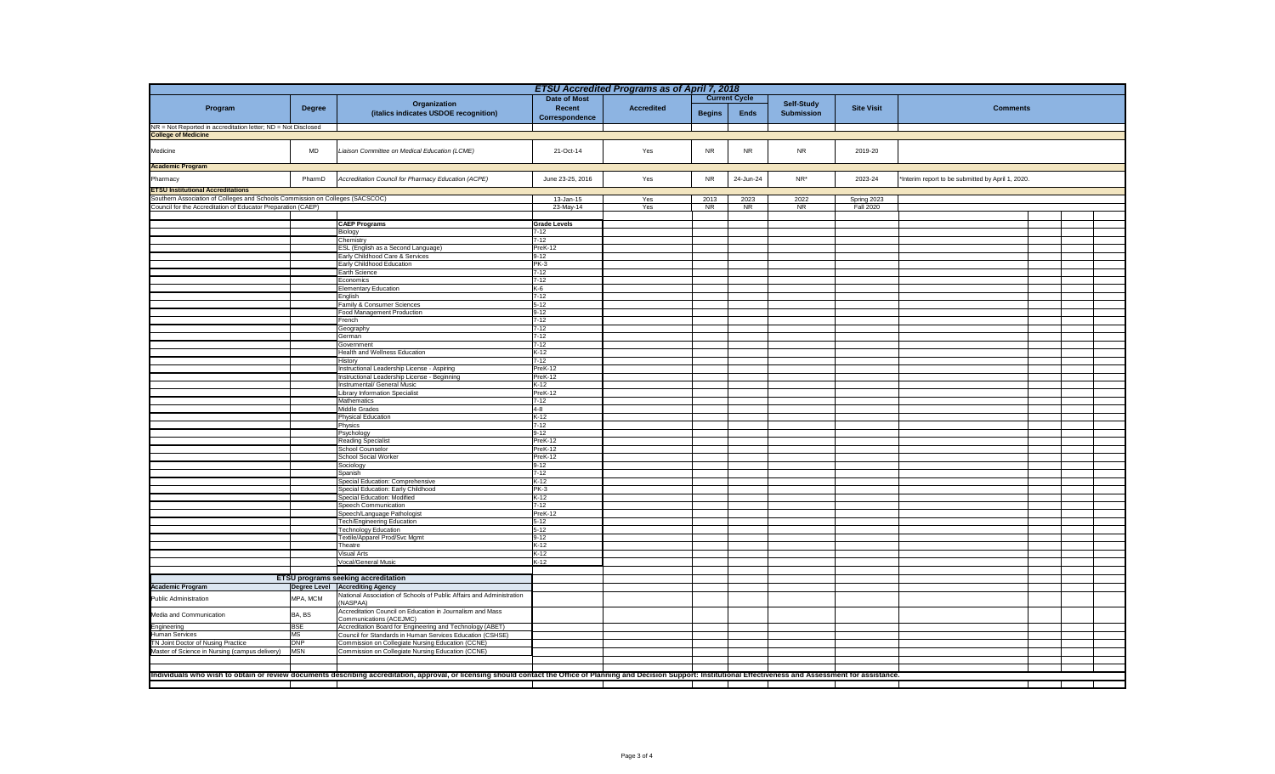| <b>ETSU Accredited Programs as of April 7, 2018</b>                           |                                             |                                                                                                                                                                                                                            |                                 |                   |               |             |                                 |                   |                                                   |  |
|-------------------------------------------------------------------------------|---------------------------------------------|----------------------------------------------------------------------------------------------------------------------------------------------------------------------------------------------------------------------------|---------------------------------|-------------------|---------------|-------------|---------------------------------|-------------------|---------------------------------------------------|--|
|                                                                               | <b>Current Cycle</b><br><b>Date of Most</b> |                                                                                                                                                                                                                            |                                 |                   |               |             |                                 |                   |                                                   |  |
| Program                                                                       | <b>Degree</b>                               | Organization<br>(italics indicates USDOE recognition)                                                                                                                                                                      | Recent                          | <b>Accredited</b> | <b>Begins</b> | <b>Ends</b> | Self-Study<br><b>Submission</b> | <b>Site Visit</b> | <b>Comments</b>                                   |  |
|                                                                               |                                             |                                                                                                                                                                                                                            | Correspondence                  |                   |               |             |                                 |                   |                                                   |  |
| NR = Not Reported in accreditation letter; ND = Not Disclosed                 |                                             |                                                                                                                                                                                                                            |                                 |                   |               |             |                                 |                   |                                                   |  |
| <b>College of Medicine</b>                                                    |                                             |                                                                                                                                                                                                                            |                                 |                   |               |             |                                 |                   |                                                   |  |
| Medicine                                                                      | <b>MD</b>                                   | Liaison Committee on Medical Education (LCME)                                                                                                                                                                              | 21-Oct-14                       | Yes               | <b>NR</b>     | <b>NR</b>   | <b>NR</b>                       | 2019-20           |                                                   |  |
|                                                                               |                                             |                                                                                                                                                                                                                            |                                 |                   |               |             |                                 |                   |                                                   |  |
| <b>Academic Program</b>                                                       |                                             |                                                                                                                                                                                                                            |                                 |                   |               |             |                                 |                   |                                                   |  |
| Pharmacy                                                                      | PharmD                                      | Accreditation Council for Pharmacy Education (ACPE)                                                                                                                                                                        | June 23-25, 2016                | Yes               | <b>NR</b>     | 24-Jun-24   | NR*                             | 2023-24           | 'Interim report to be submitted by April 1, 2020. |  |
| <b>ETSU Institutional Accreditations</b>                                      |                                             |                                                                                                                                                                                                                            |                                 |                   |               |             |                                 |                   |                                                   |  |
| Southern Association of Colleges and Schools Commission on Colleges (SACSCOC) |                                             |                                                                                                                                                                                                                            | 13-Jan-15                       | Yes               | 2013          | 2023        | 2022                            | Spring 2023       |                                                   |  |
| Council for the Accreditation of Educator Preparation (CAEP)                  |                                             |                                                                                                                                                                                                                            | 23-May-14                       | Yes               | NR            | <b>NR</b>   | <b>NR</b>                       | <b>Fall 2020</b>  |                                                   |  |
|                                                                               |                                             |                                                                                                                                                                                                                            |                                 |                   |               |             |                                 |                   |                                                   |  |
|                                                                               |                                             | <b>CAEP Programs</b><br>Biology                                                                                                                                                                                            | <b>Grade Levels</b><br>$7 - 12$ |                   |               |             |                                 |                   |                                                   |  |
|                                                                               |                                             | hemistry:                                                                                                                                                                                                                  | $7 - 12$                        |                   |               |             |                                 |                   |                                                   |  |
|                                                                               |                                             | ESL (English as a Second Language)                                                                                                                                                                                         | PreK-12                         |                   |               |             |                                 |                   |                                                   |  |
|                                                                               |                                             | Early Childhood Care & Services                                                                                                                                                                                            | $9 - 12$                        |                   |               |             |                                 |                   |                                                   |  |
|                                                                               |                                             | Early Childhood Education                                                                                                                                                                                                  | $PK-3$                          |                   |               |             |                                 |                   |                                                   |  |
|                                                                               |                                             | Earth Science<br>Economics                                                                                                                                                                                                 | $7 - 12$<br>$7 - 12$            |                   |               |             |                                 |                   |                                                   |  |
|                                                                               |                                             | <b>Elementary Education</b>                                                                                                                                                                                                | K-6                             |                   |               |             |                                 |                   |                                                   |  |
|                                                                               |                                             | inglish                                                                                                                                                                                                                    | $7 - 12$                        |                   |               |             |                                 |                   |                                                   |  |
|                                                                               |                                             | amily & Consumer Sciences                                                                                                                                                                                                  | $5 - 12$                        |                   |               |             |                                 |                   |                                                   |  |
|                                                                               |                                             | ood Management Production<br>rench                                                                                                                                                                                         | $9 - 12$<br>$7-12$              |                   |               |             |                                 |                   |                                                   |  |
|                                                                               |                                             | Geography                                                                                                                                                                                                                  | $7 - 12$                        |                   |               |             |                                 |                   |                                                   |  |
|                                                                               |                                             | German                                                                                                                                                                                                                     | $7-12$                          |                   |               |             |                                 |                   |                                                   |  |
|                                                                               |                                             | Government                                                                                                                                                                                                                 | $7-12$                          |                   |               |             |                                 |                   |                                                   |  |
|                                                                               |                                             | Health and Wellness Education                                                                                                                                                                                              | $K-12$                          |                   |               |             |                                 |                   |                                                   |  |
|                                                                               |                                             | History<br>nstructional Leadership License - Aspiring                                                                                                                                                                      | $7-12$<br>PreK-12               |                   |               |             |                                 |                   |                                                   |  |
|                                                                               |                                             | nstructional Leadership License - Beginning                                                                                                                                                                                | PreK-12                         |                   |               |             |                                 |                   |                                                   |  |
|                                                                               |                                             | nstrumental/ General Music                                                                                                                                                                                                 | $K-12$                          |                   |               |             |                                 |                   |                                                   |  |
|                                                                               |                                             | Library Information Specialist                                                                                                                                                                                             | PreK-12                         |                   |               |             |                                 |                   |                                                   |  |
|                                                                               |                                             | Mathematics                                                                                                                                                                                                                | $7 - 12$                        |                   |               |             |                                 |                   |                                                   |  |
|                                                                               |                                             | <b>Middle Grades</b><br>Physical Education                                                                                                                                                                                 | $4 - 8$<br>$K-12$               |                   |               |             |                                 |                   |                                                   |  |
|                                                                               |                                             | hysics                                                                                                                                                                                                                     | $7 - 12$                        |                   |               |             |                                 |                   |                                                   |  |
|                                                                               |                                             | <sup>2</sup> sychology                                                                                                                                                                                                     | $9 - 12$                        |                   |               |             |                                 |                   |                                                   |  |
|                                                                               |                                             | Reading Specialist                                                                                                                                                                                                         | PreK-12                         |                   |               |             |                                 |                   |                                                   |  |
|                                                                               |                                             | School Counselor<br><b>School Social Worker</b>                                                                                                                                                                            | PreK-12<br>PreK-12              |                   |               |             |                                 |                   |                                                   |  |
|                                                                               |                                             | Sociology                                                                                                                                                                                                                  | $9 - 12$                        |                   |               |             |                                 |                   |                                                   |  |
|                                                                               |                                             | Spanish                                                                                                                                                                                                                    | $7 - 12$                        |                   |               |             |                                 |                   |                                                   |  |
|                                                                               |                                             | Special Education: Comprehensive                                                                                                                                                                                           | $K-12$                          |                   |               |             |                                 |                   |                                                   |  |
|                                                                               |                                             | Special Education: Early Childhood                                                                                                                                                                                         | $PK-3$                          |                   |               |             |                                 |                   |                                                   |  |
|                                                                               |                                             | Special Education: Modified<br>Speech Communication                                                                                                                                                                        | $K-12$<br>$7 - 12$              |                   |               |             |                                 |                   |                                                   |  |
|                                                                               |                                             | Speech/Language Pathologist                                                                                                                                                                                                | PreK-12                         |                   |               |             |                                 |                   |                                                   |  |
|                                                                               |                                             | Fech/Engineering Education                                                                                                                                                                                                 | $5 - 12$                        |                   |               |             |                                 |                   |                                                   |  |
|                                                                               |                                             | Fechnology Education                                                                                                                                                                                                       | $5 - 12$                        |                   |               |             |                                 |                   |                                                   |  |
|                                                                               |                                             | Textile/Apparel Prod/Svc Mgmt<br>Theatre                                                                                                                                                                                   | $9 - 12$<br>$K-12$              |                   |               |             |                                 |                   |                                                   |  |
|                                                                               |                                             | Visual Arts                                                                                                                                                                                                                | $K-12$                          |                   |               |             |                                 |                   |                                                   |  |
|                                                                               |                                             | Vocal/General Music                                                                                                                                                                                                        | $K-12$                          |                   |               |             |                                 |                   |                                                   |  |
|                                                                               |                                             |                                                                                                                                                                                                                            |                                 |                   |               |             |                                 |                   |                                                   |  |
|                                                                               |                                             | <b>ETSU programs seeking accreditation</b>                                                                                                                                                                                 |                                 |                   |               |             |                                 |                   |                                                   |  |
| <b>Academic Program</b>                                                       |                                             | Degree Level Accrediting Agency<br>National Association of Schools of Public Affairs and Administration                                                                                                                    |                                 |                   |               |             |                                 |                   |                                                   |  |
| Public Administration                                                         | MPA, MCM                                    | (NASPAA)                                                                                                                                                                                                                   |                                 |                   |               |             |                                 |                   |                                                   |  |
| Media and Communication                                                       | BA, BS                                      | Accreditation Council on Education in Journalism and Mass                                                                                                                                                                  |                                 |                   |               |             |                                 |                   |                                                   |  |
| Engineering                                                                   | <b>BSE</b>                                  | Communications (ACEJMC)<br>Accreditation Board for Engineering and Technology (ABET)                                                                                                                                       |                                 |                   |               |             |                                 |                   |                                                   |  |
| Human Services                                                                | <b>MS</b>                                   | Council for Standards in Human Services Education (CSHSE)                                                                                                                                                                  |                                 |                   |               |             |                                 |                   |                                                   |  |
| TN Joint Doctor of Nusing Practice                                            | <b>DNP</b>                                  | Commission on Collegiate Nursing Education (CCNE)                                                                                                                                                                          |                                 |                   |               |             |                                 |                   |                                                   |  |
| Master of Science in Nursing (campus delivery)                                | <b>MSN</b>                                  | Commission on Collegiate Nursing Education (CCNE)                                                                                                                                                                          |                                 |                   |               |             |                                 |                   |                                                   |  |
|                                                                               |                                             |                                                                                                                                                                                                                            |                                 |                   |               |             |                                 |                   |                                                   |  |
|                                                                               |                                             | Individuals who wish to obtain or review documents describing accreditation, approval, or licensing should contact the Office of Planning and Decision Support: Institutional Effectiveness and Assessment for assistance. |                                 |                   |               |             |                                 |                   |                                                   |  |
|                                                                               |                                             |                                                                                                                                                                                                                            |                                 |                   |               |             |                                 |                   |                                                   |  |